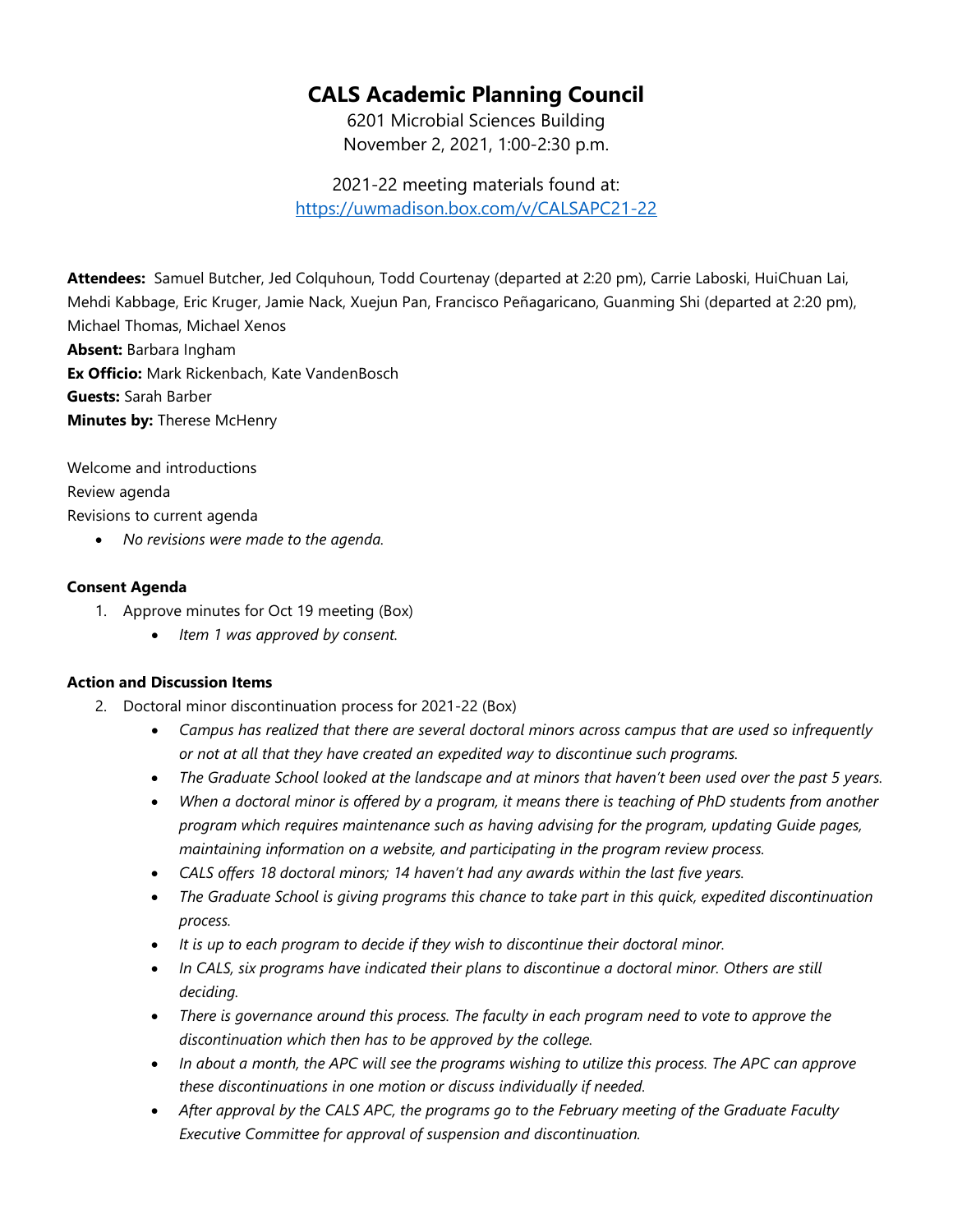# **CALS Academic Planning Council**

6201 Microbial Sciences Building November 2, 2021, 1:00-2:30 p.m.

2021-22 meeting materials found at: <https://uwmadison.box.com/v/CALSAPC21-22>

**Attendees:** Samuel Butcher, Jed Colquhoun, Todd Courtenay (departed at 2:20 pm), Carrie Laboski, HuiChuan Lai, Mehdi Kabbage, Eric Kruger, Jamie Nack, Xuejun Pan, Francisco Peñagaricano, Guanming Shi (departed at 2:20 pm), Michael Thomas, Michael Xenos **Absent:** Barbara Ingham **Ex Officio:** Mark Rickenbach, Kate VandenBosch **Guests:** Sarah Barber **Minutes by:** Therese McHenry

Welcome and introductions Review agenda Revisions to current agenda • *No revisions were made to the agenda.*

#### **Consent Agenda**

- 1. Approve minutes for Oct 19 meeting (Box)
	- *Item 1 was approved by consent.*

### **Action and Discussion Items**

- 2. Doctoral minor discontinuation process for 2021-22 (Box)
	- *Campus has realized that there are several doctoral minors across campus that are used so infrequently or not at all that they have created an expedited way to discontinue such programs.*
	- *The Graduate School looked at the landscape and at minors that haven't been used over the past 5 years.*
	- *When a doctoral minor is offered by a program, it means there is teaching of PhD students from another program which requires maintenance such as having advising for the program, updating Guide pages, maintaining information on a website, and participating in the program review process.*
	- *CALS offers 18 doctoral minors; 14 haven't had any awards within the last five years.*
	- *The Graduate School is giving programs this chance to take part in this quick, expedited discontinuation process.*
	- *It is up to each program to decide if they wish to discontinue their doctoral minor.*
	- In CALS, six programs have indicated their plans to discontinue a doctoral minor. Others are still *deciding.*
	- *There is governance around this process. The faculty in each program need to vote to approve the discontinuation which then has to be approved by the college.*
	- *In about a month, the APC will see the programs wishing to utilize this process. The APC can approve these discontinuations in one motion or discuss individually if needed.*
	- *After approval by the CALS APC, the programs go to the February meeting of the Graduate Faculty Executive Committee for approval of suspension and discontinuation.*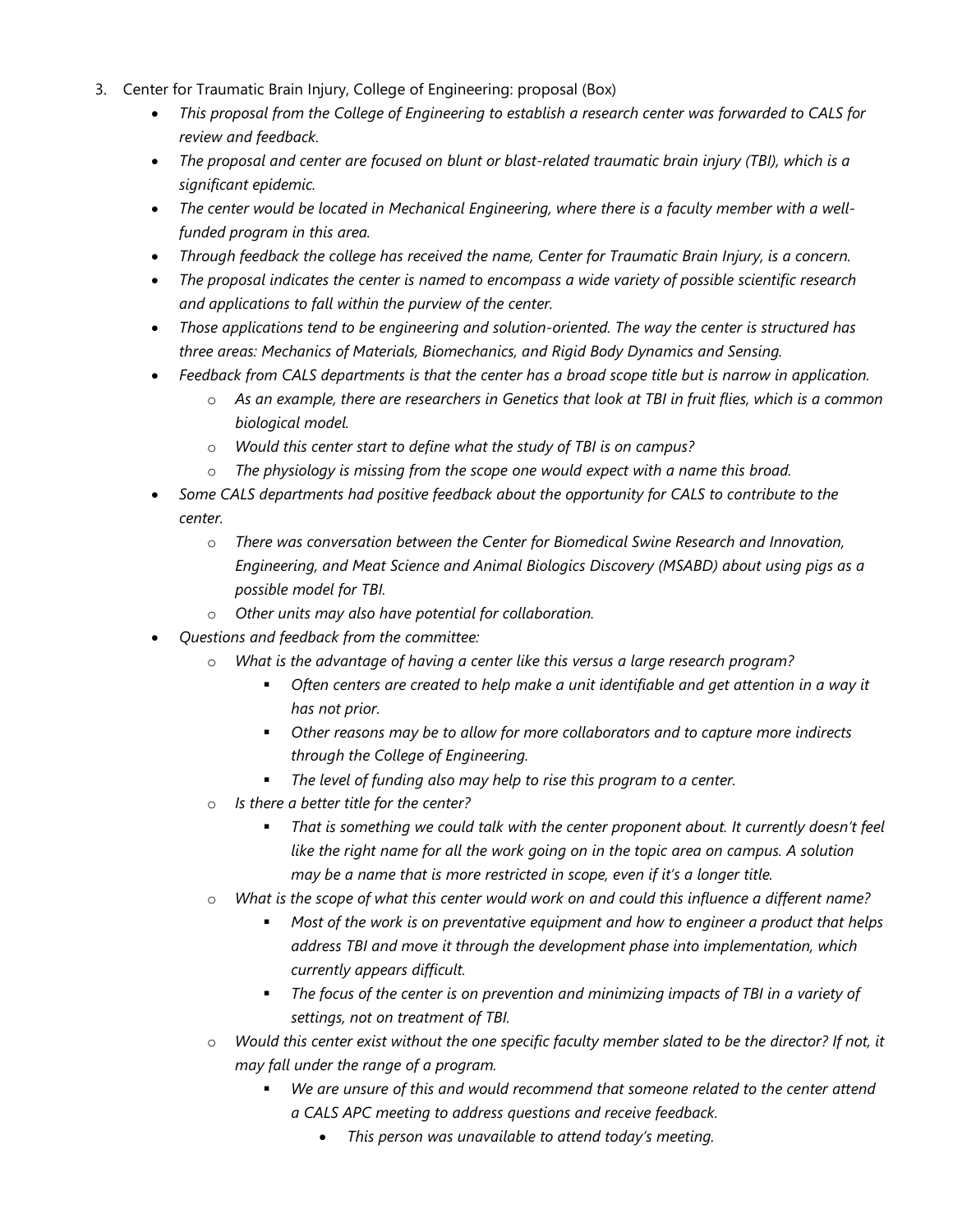- 3. Center for Traumatic Brain Injury, College of Engineering: proposal (Box)
	- *This proposal from the College of Engineering to establish a research center was forwarded to CALS for review and feedback.*
	- *The proposal and center are focused on blunt or blast-related traumatic brain injury (TBI), which is a significant epidemic.*
	- *The center would be located in Mechanical Engineering, where there is a faculty member with a wellfunded program in this area.*
	- *Through feedback the college has received the name, Center for Traumatic Brain Injury, is a concern.*
	- *The proposal indicates the center is named to encompass a wide variety of possible scientific research and applications to fall within the purview of the center.*
	- *Those applications tend to be engineering and solution-oriented. The way the center is structured has three areas: Mechanics of Materials, Biomechanics, and Rigid Body Dynamics and Sensing.*
	- *Feedback from CALS departments is that the center has a broad scope title but is narrow in application.*
		- o *As an example, there are researchers in Genetics that look at TBI in fruit flies, which is a common biological model.*
		- o *Would this center start to define what the study of TBI is on campus?*
		- o *The physiology is missing from the scope one would expect with a name this broad.*
	- *Some CALS departments had positive feedback about the opportunity for CALS to contribute to the center.*
		- o *There was conversation between the Center for Biomedical Swine Research and Innovation, Engineering, and Meat Science and Animal Biologics Discovery (MSABD) about using pigs as a possible model for TBI.*
		- o *Other units may also have potential for collaboration.*
	- *Questions and feedback from the committee:*
		- What is the advantage of having a center like this versus a large research program?
			- *Often centers are created to help make a unit identifiable and get attention in a way it has not prior.*
			- *Other reasons may be to allow for more collaborators and to capture more indirects through the College of Engineering.*
			- *The level of funding also may help to rise this program to a center.*
		- o *Is there a better title for the center?*
			- *That is something we could talk with the center proponent about. It currently doesn't feel like the right name for all the work going on in the topic area on campus. A solution may be a name that is more restricted in scope, even if it's a longer title.*
		- o *What is the scope of what this center would work on and could this influence a different name?*
			- *Most of the work is on preventative equipment and how to engineer a product that helps address TBI and move it through the development phase into implementation, which currently appears difficult.*
			- *The focus of the center is on prevention and minimizing impacts of TBI in a variety of settings, not on treatment of TBI.*
		- o *Would this center exist without the one specific faculty member slated to be the director? If not, it may fall under the range of a program.*
			- *We are unsure of this and would recommend that someone related to the center attend a CALS APC meeting to address questions and receive feedback.*
				- *This person was unavailable to attend today's meeting.*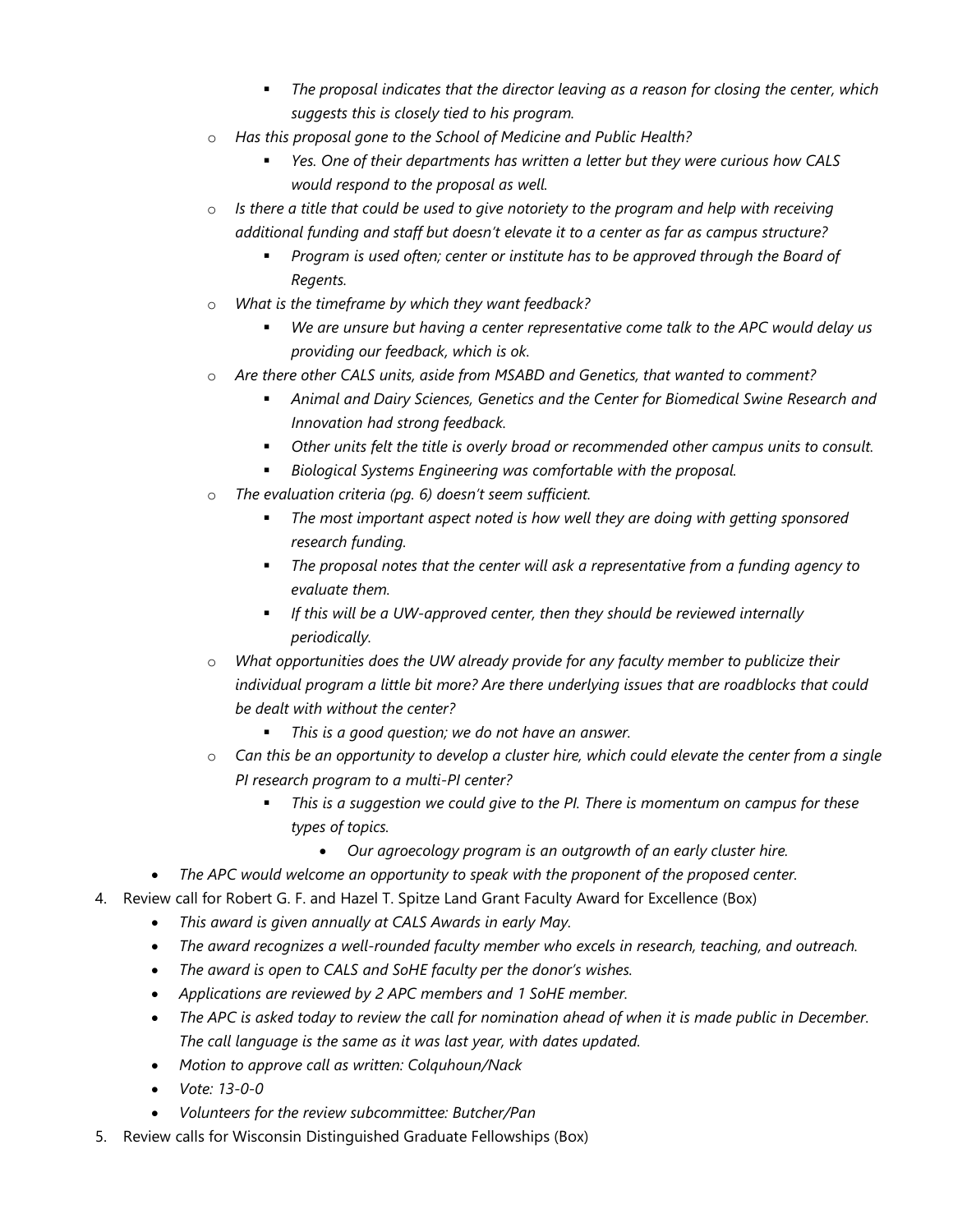- *The proposal indicates that the director leaving as a reason for closing the center, which suggests this is closely tied to his program.*
- o *Has this proposal gone to the School of Medicine and Public Health?*
	- *Yes. One of their departments has written a letter but they were curious how CALS would respond to the proposal as well.*
- o *Is there a title that could be used to give notoriety to the program and help with receiving additional funding and staff but doesn't elevate it to a center as far as campus structure?*
	- *Program is used often; center or institute has to be approved through the Board of Regents.*
- o *What is the timeframe by which they want feedback?*
	- *We are unsure but having a center representative come talk to the APC would delay us providing our feedback, which is ok.*
- o *Are there other CALS units, aside from MSABD and Genetics, that wanted to comment?*
	- **Animal and Dairy Sciences, Genetics and the Center for Biomedical Swine Research and** *Innovation had strong feedback.*
	- *Other units felt the title is overly broad or recommended other campus units to consult.*
	- *Biological Systems Engineering was comfortable with the proposal.*
- o *The evaluation criteria (pg. 6) doesn't seem sufficient.*
	- *The most important aspect noted is how well they are doing with getting sponsored research funding.*
	- *The proposal notes that the center will ask a representative from a funding agency to evaluate them.*
	- *If this will be a UW-approved center, then they should be reviewed internally periodically.*
- o *What opportunities does the UW already provide for any faculty member to publicize their individual program a little bit more? Are there underlying issues that are roadblocks that could be dealt with without the center?*
	- *This is a good question; we do not have an answer.*
- o *Can this be an opportunity to develop a cluster hire, which could elevate the center from a single PI research program to a multi-PI center?*
	- *This is a suggestion we could give to the PI. There is momentum on campus for these types of topics.*
		- *Our agroecology program is an outgrowth of an early cluster hire.*
- *The APC would welcome an opportunity to speak with the proponent of the proposed center.*
- 4. Review call for Robert G. F. and Hazel T. Spitze Land Grant Faculty Award for Excellence (Box)
	- *This award is given annually at CALS Awards in early May.*
	- *The award recognizes a well-rounded faculty member who excels in research, teaching, and outreach.*
	- *The award is open to CALS and SoHE faculty per the donor's wishes.*
	- *Applications are reviewed by 2 APC members and 1 SoHE member.*
	- *The APC is asked today to review the call for nomination ahead of when it is made public in December. The call language is the same as it was last year, with dates updated.*
	- *Motion to approve call as written: Colquhoun/Nack*
	- *Vote: 13-0-0*
	- *Volunteers for the review subcommittee: Butcher/Pan*
- 5. Review calls for Wisconsin Distinguished Graduate Fellowships (Box)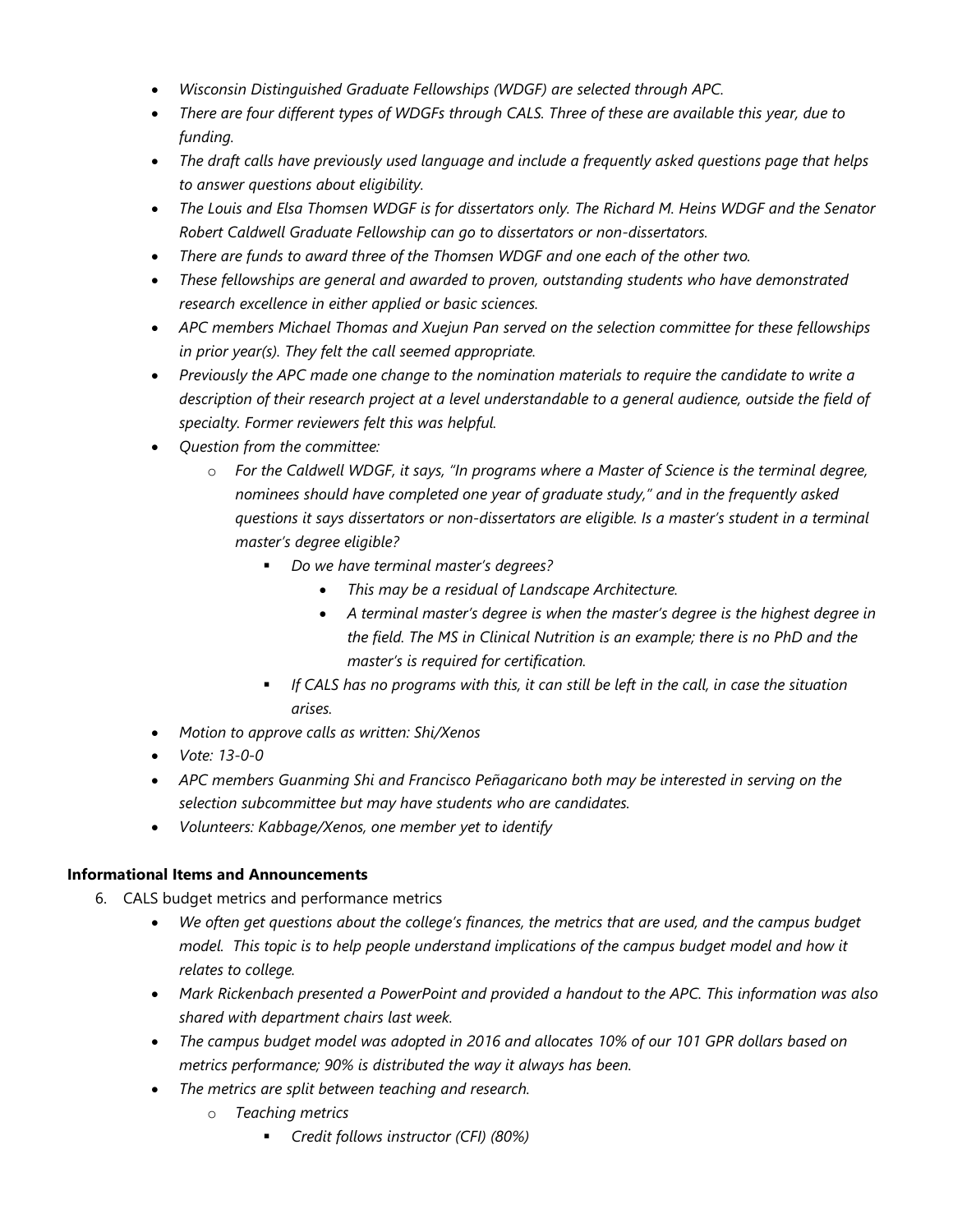- *Wisconsin Distinguished Graduate Fellowships (WDGF) are selected through APC.*
- *There are four different types of WDGFs through CALS. Three of these are available this year, due to funding.*
- *The draft calls have previously used language and include a frequently asked questions page that helps to answer questions about eligibility.*
- *The Louis and Elsa Thomsen WDGF is for dissertators only. The Richard M. Heins WDGF and the Senator Robert Caldwell Graduate Fellowship can go to dissertators or non-dissertators.*
- *There are funds to award three of the Thomsen WDGF and one each of the other two.*
- *These fellowships are general and awarded to proven, outstanding students who have demonstrated research excellence in either applied or basic sciences.*
- *APC members Michael Thomas and Xuejun Pan served on the selection committee for these fellowships in prior year(s). They felt the call seemed appropriate.*
- *Previously the APC made one change to the nomination materials to require the candidate to write a description of their research project at a level understandable to a general audience, outside the field of specialty. Former reviewers felt this was helpful.*
- *Question from the committee:*
	- o *For the Caldwell WDGF, it says, "In programs where a Master of Science is the terminal degree, nominees should have completed one year of graduate study," and in the frequently asked questions it says dissertators or non-dissertators are eligible. Is a master's student in a terminal master's degree eligible?*
		- *Do we have terminal master's degrees?*
			- *This may be a residual of Landscape Architecture.*
			- *A terminal master's degree is when the master's degree is the highest degree in the field. The MS in Clinical Nutrition is an example; there is no PhD and the master's is required for certification.*
		- **If CALS has no programs with this, it can still be left in the call, in case the situation** *arises.*
- *Motion to approve calls as written: Shi/Xenos*
- *Vote: 13-0-0*
- *APC members Guanming Shi and Francisco Peñagaricano both may be interested in serving on the selection subcommittee but may have students who are candidates.*
- *Volunteers: Kabbage/Xenos, one member yet to identify*

### **Informational Items and Announcements**

- 6. CALS budget metrics and performance metrics
	- *We often get questions about the college's finances, the metrics that are used, and the campus budget model. This topic is to help people understand implications of the campus budget model and how it relates to college.*
	- *Mark Rickenbach presented a PowerPoint and provided a handout to the APC. This information was also shared with department chairs last week.*
	- *The campus budget model was adopted in 2016 and allocates 10% of our 101 GPR dollars based on metrics performance; 90% is distributed the way it always has been.*
	- *The metrics are split between teaching and research.*
		- o *Teaching metrics*
			- *Credit follows instructor (CFI) (80%)*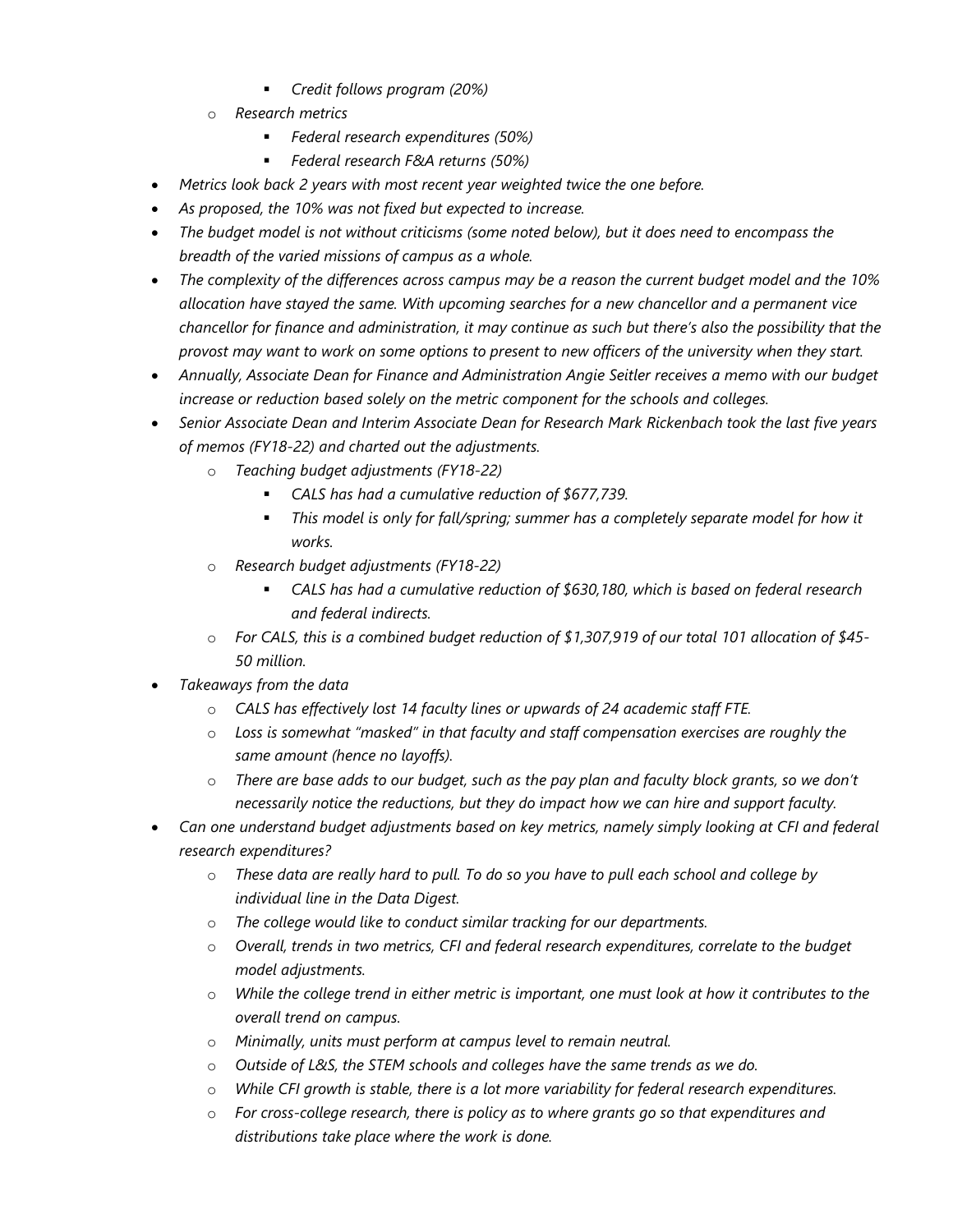- *Credit follows program (20%)*
- o *Research metrics*
	- *Federal research expenditures (50%)*
	- *Federal research F&A returns (50%)*
- *Metrics look back 2 years with most recent year weighted twice the one before.*
- *As proposed, the 10% was not fixed but expected to increase.*
- *The budget model is not without criticisms (some noted below), but it does need to encompass the breadth of the varied missions of campus as a whole.*
- *The complexity of the differences across campus may be a reason the current budget model and the 10% allocation have stayed the same. With upcoming searches for a new chancellor and a permanent vice chancellor for finance and administration, it may continue as such but there's also the possibility that the provost may want to work on some options to present to new officers of the university when they start.*
- *Annually, Associate Dean for Finance and Administration Angie Seitler receives a memo with our budget increase or reduction based solely on the metric component for the schools and colleges.*
- *Senior Associate Dean and Interim Associate Dean for Research Mark Rickenbach took the last five years of memos (FY18-22) and charted out the adjustments.*
	- o *Teaching budget adjustments (FY18-22)*
		- *CALS has had a cumulative reduction of \$677,739.*
		- *This model is only for fall/spring; summer has a completely separate model for how it works.*
	- o *Research budget adjustments (FY18-22)*
		- *CALS has had a cumulative reduction of \$630,180, which is based on federal research and federal indirects.*
	- o *For CALS, this is a combined budget reduction of \$1,307,919 of our total 101 allocation of \$45- 50 million.*
- *Takeaways from the data*
	- o *CALS has effectively lost 14 faculty lines or upwards of 24 academic staff FTE.*
	- o *Loss is somewhat "masked" in that faculty and staff compensation exercises are roughly the same amount (hence no layoffs).*
	- o *There are base adds to our budget, such as the pay plan and faculty block grants, so we don't necessarily notice the reductions, but they do impact how we can hire and support faculty.*
- *Can one understand budget adjustments based on key metrics, namely simply looking at CFI and federal research expenditures?*
	- o *These data are really hard to pull. To do so you have to pull each school and college by individual line in the Data Digest.*
	- o *The college would like to conduct similar tracking for our departments.*
	- o *Overall, trends in two metrics, CFI and federal research expenditures, correlate to the budget model adjustments.*
	- o *While the college trend in either metric is important, one must look at how it contributes to the overall trend on campus.*
	- o *Minimally, units must perform at campus level to remain neutral.*
	- o *Outside of L&S, the STEM schools and colleges have the same trends as we do.*
	- o *While CFI growth is stable, there is a lot more variability for federal research expenditures.*
	- o *For cross-college research, there is policy as to where grants go so that expenditures and distributions take place where the work is done.*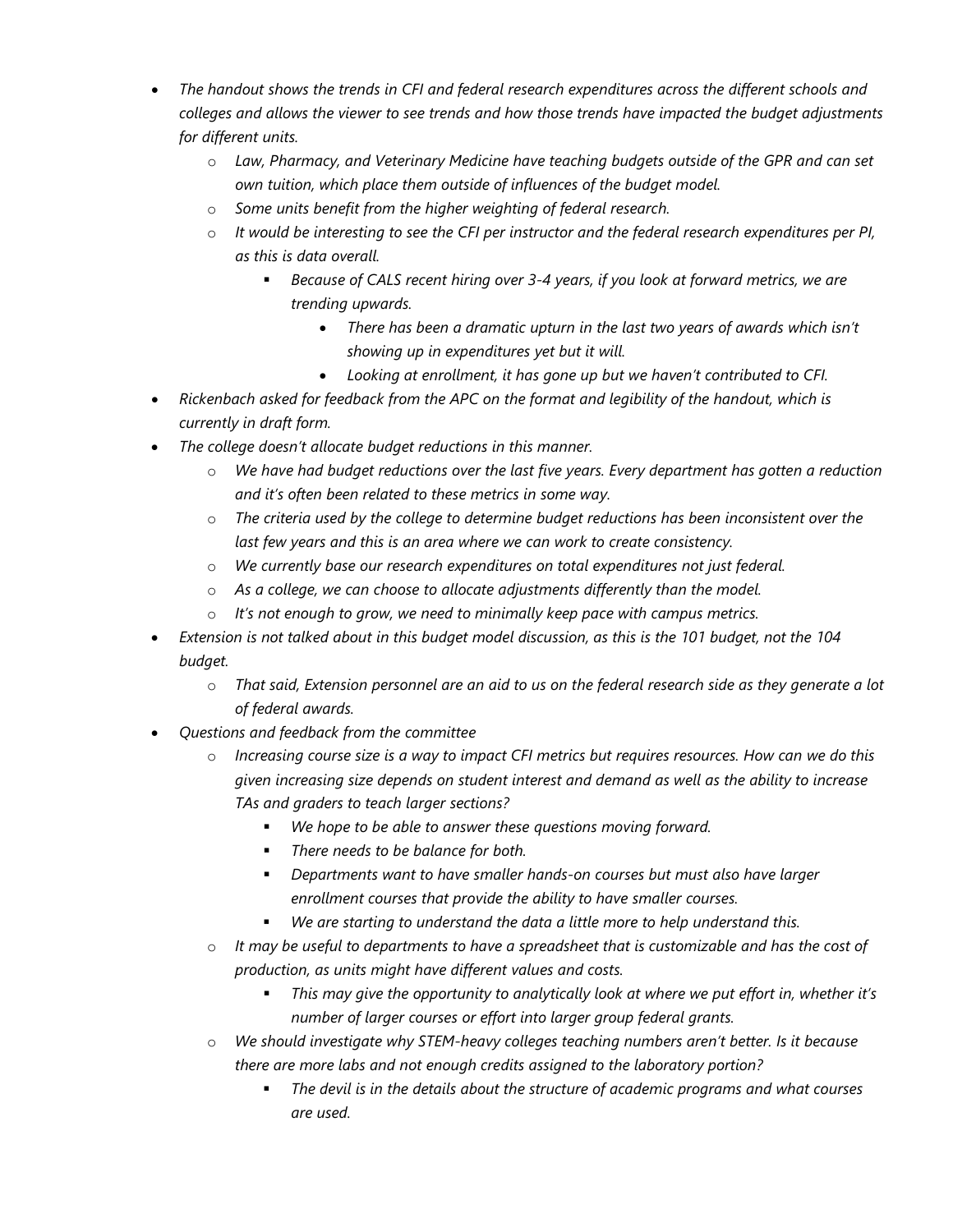- *The handout shows the trends in CFI and federal research expenditures across the different schools and colleges and allows the viewer to see trends and how those trends have impacted the budget adjustments for different units.*
	- o *Law, Pharmacy, and Veterinary Medicine have teaching budgets outside of the GPR and can set own tuition, which place them outside of influences of the budget model.*
	- o *Some units benefit from the higher weighting of federal research.*
	- o *It would be interesting to see the CFI per instructor and the federal research expenditures per PI, as this is data overall.*
		- *Because of CALS recent hiring over 3-4 years, if you look at forward metrics, we are trending upwards.*
			- *There has been a dramatic upturn in the last two years of awards which isn't showing up in expenditures yet but it will.*
			- *Looking at enrollment, it has gone up but we haven't contributed to CFI.*
- *Rickenbach asked for feedback from the APC on the format and legibility of the handout, which is currently in draft form.*
- *The college doesn't allocate budget reductions in this manner.*
	- o *We have had budget reductions over the last five years. Every department has gotten a reduction and it's often been related to these metrics in some way.*
	- o *The criteria used by the college to determine budget reductions has been inconsistent over the last few years and this is an area where we can work to create consistency.*
	- o *We currently base our research expenditures on total expenditures not just federal.*
	- o *As a college, we can choose to allocate adjustments differently than the model.*
	- o *It's not enough to grow, we need to minimally keep pace with campus metrics.*
- *Extension is not talked about in this budget model discussion, as this is the 101 budget, not the 104 budget.*
	- o *That said, Extension personnel are an aid to us on the federal research side as they generate a lot of federal awards.*
- *Questions and feedback from the committee*
	- o *Increasing course size is a way to impact CFI metrics but requires resources. How can we do this given increasing size depends on student interest and demand as well as the ability to increase TAs and graders to teach larger sections?*
		- *We hope to be able to answer these questions moving forward.*
		- *There needs to be balance for both.*
		- *Departments want to have smaller hands-on courses but must also have larger enrollment courses that provide the ability to have smaller courses.*
		- *We are starting to understand the data a little more to help understand this.*
	- o *It may be useful to departments to have a spreadsheet that is customizable and has the cost of production, as units might have different values and costs.*
		- *This may give the opportunity to analytically look at where we put effort in, whether it's number of larger courses or effort into larger group federal grants.*
	- o *We should investigate why STEM-heavy colleges teaching numbers aren't better. Is it because there are more labs and not enough credits assigned to the laboratory portion?*
		- *The devil is in the details about the structure of academic programs and what courses are used.*